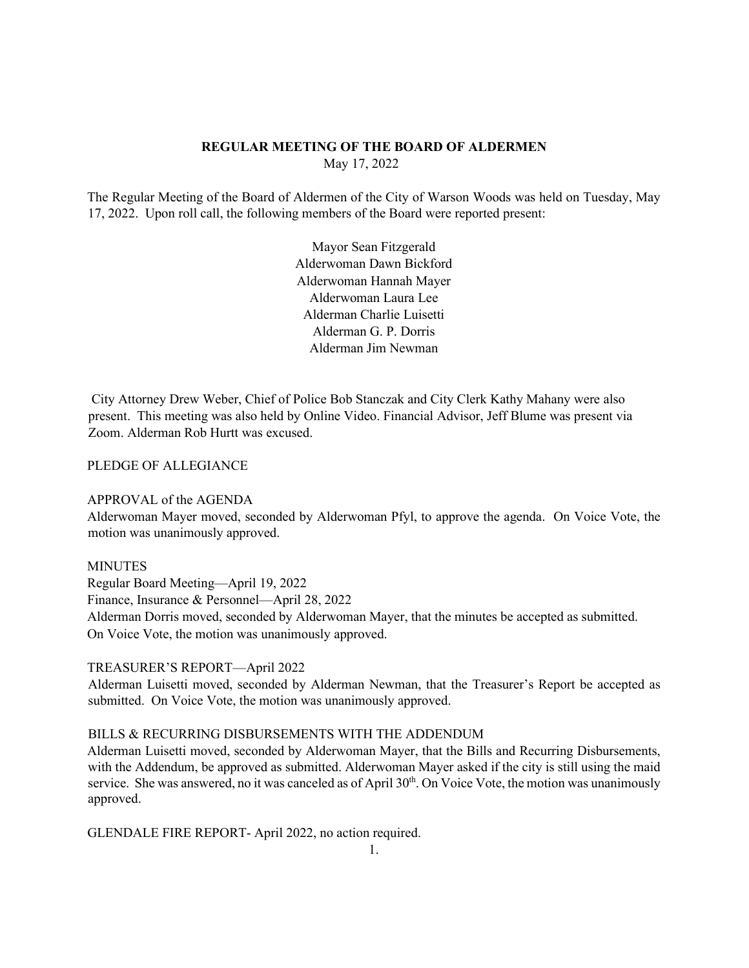# **REGULAR MEETING OF THE BOARD OF ALDERMEN**  May 17, 2022

The Regular Meeting of the Board of Aldermen of the City of Warson Woods was held on Tuesday, May 17, 2022. Upon roll call, the following members of the Board were reported present:

> Mayor Sean Fitzgerald Alderwoman Dawn Bickford Alderwoman Hannah Mayer Alderwoman Laura Lee Alderman Charlie Luisetti Alderman G. P. Dorris Alderman Jim Newman

City Attorney Drew Weber, Chief of Police Bob Stanczak and City Clerk Kathy Mahany were also present. This meeting was also held by Online Video. Financial Advisor, Jeff Blume was present via Zoom. Alderman Rob Hurtt was excused.

PLEDGE OF ALLEGIANCE

## APPROVAL of the AGENDA

Alderwoman Mayer moved, seconded by Alderwoman Pfyl, to approve the agenda. On Voice Vote, the motion was unanimously approved.

### MINUTES

Regular Board Meeting—April 19, 2022 Finance, Insurance & Personnel—April 28, 2022

Alderman Dorris moved, seconded by Alderwoman Mayer, that the minutes be accepted as submitted. On Voice Vote, the motion was unanimously approved.

#### TREASURER'S REPORT—April 2022

Alderman Luisetti moved, seconded by Alderman Newman, that the Treasurer's Report be accepted as submitted. On Voice Vote, the motion was unanimously approved.

## BILLS & RECURRING DISBURSEMENTS WITH THE ADDENDUM

Alderman Luisetti moved, seconded by Alderwoman Mayer, that the Bills and Recurring Disbursements, with the Addendum, be approved as submitted. Alderwoman Mayer asked if the city is still using the maid service. She was answered, no it was canceled as of April 30<sup>th</sup>. On Voice Vote, the motion was unanimously approved.

GLENDALE FIRE REPORT- April 2022, no action required.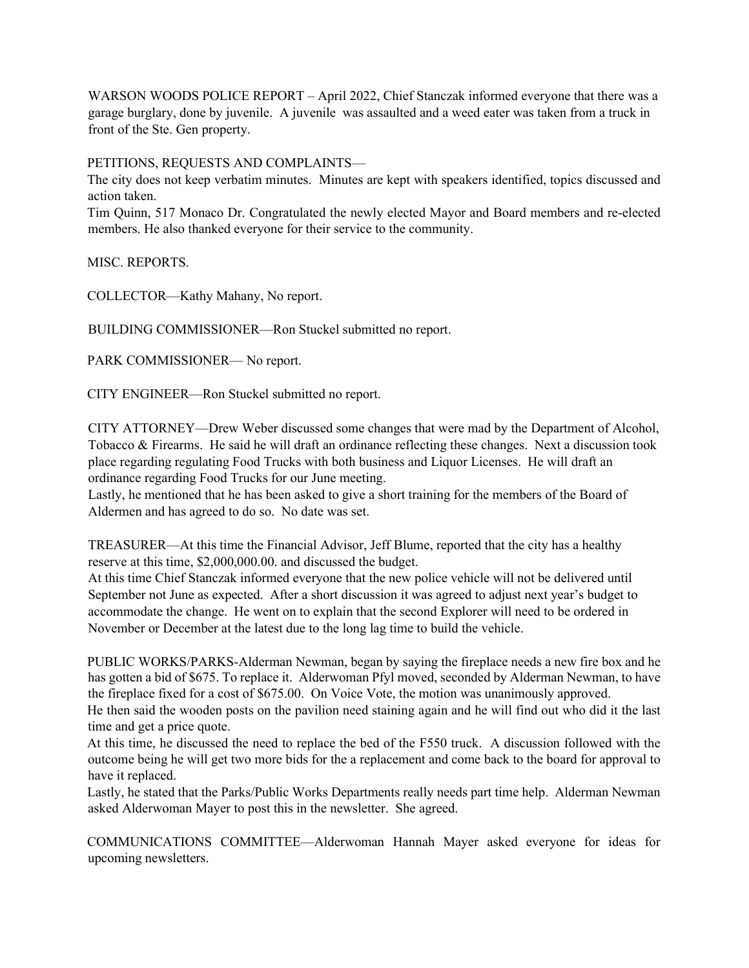WARSON WOODS POLICE REPORT – April 2022, Chief Stanczak informed everyone that there was a garage burglary, done by juvenile. A juvenile was assaulted and a weed eater was taken from a truck in front of the Ste. Gen property.

PETITIONS, REQUESTS AND COMPLAINTS—

The city does not keep verbatim minutes. Minutes are kept with speakers identified, topics discussed and action taken.

Tim Quinn, 517 Monaco Dr. Congratulated the newly elected Mayor and Board members and re-elected members. He also thanked everyone for their service to the community.

MISC. REPORTS.

COLLECTOR—Kathy Mahany, No report.

BUILDING COMMISSIONER—Ron Stuckel submitted no report.

PARK COMMISSIONER— No report.

CITY ENGINEER—Ron Stuckel submitted no report.

CITY ATTORNEY—Drew Weber discussed some changes that were mad by the Department of Alcohol, Tobacco & Firearms. He said he will draft an ordinance reflecting these changes. Next a discussion took place regarding regulating Food Trucks with both business and Liquor Licenses. He will draft an ordinance regarding Food Trucks for our June meeting.

Lastly, he mentioned that he has been asked to give a short training for the members of the Board of Aldermen and has agreed to do so. No date was set.

TREASURER—At this time the Financial Advisor, Jeff Blume, reported that the city has a healthy reserve at this time, \$2,000,000.00. and discussed the budget.

At this time Chief Stanczak informed everyone that the new police vehicle will not be delivered until September not June as expected. After a short discussion it was agreed to adjust next year's budget to accommodate the change. He went on to explain that the second Explorer will need to be ordered in November or December at the latest due to the long lag time to build the vehicle.

PUBLIC WORKS/PARKS-Alderman Newman, began by saying the fireplace needs a new fire box and he has gotten a bid of \$675. To replace it. Alderwoman Pfyl moved, seconded by Alderman Newman, to have the fireplace fixed for a cost of \$675.00. On Voice Vote, the motion was unanimously approved. He then said the wooden posts on the pavilion need staining again and he will find out who did it the last time and get a price quote.

At this time, he discussed the need to replace the bed of the F550 truck. A discussion followed with the outcome being he will get two more bids for the a replacement and come back to the board for approval to have it replaced.

Lastly, he stated that the Parks/Public Works Departments really needs part time help. Alderman Newman asked Alderwoman Mayer to post this in the newsletter. She agreed.

COMMUNICATIONS COMMITTEE—Alderwoman Hannah Mayer asked everyone for ideas for upcoming newsletters.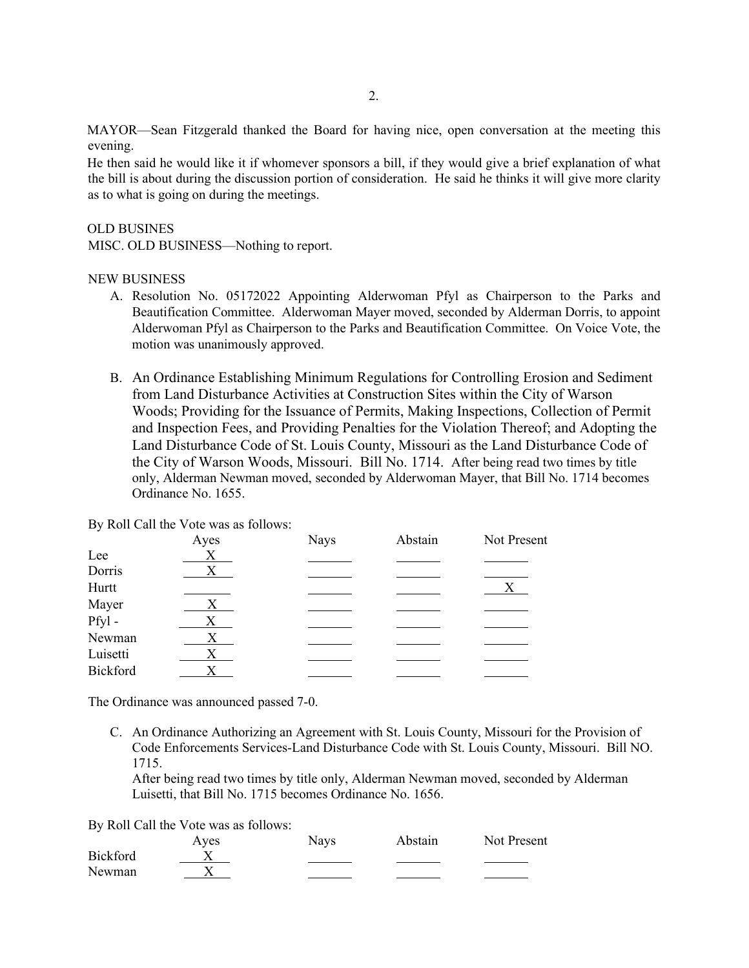MAYOR—Sean Fitzgerald thanked the Board for having nice, open conversation at the meeting this evening.

He then said he would like it if whomever sponsors a bill, if they would give a brief explanation of what the bill is about during the discussion portion of consideration. He said he thinks it will give more clarity as to what is going on during the meetings.

## OLD BUSINES

MISC. OLD BUSINESS—Nothing to report.

### NEW BUSINESS

- A. Resolution No. 05172022 Appointing Alderwoman Pfyl as Chairperson to the Parks and Beautification Committee. Alderwoman Mayer moved, seconded by Alderman Dorris, to appoint Alderwoman Pfyl as Chairperson to the Parks and Beautification Committee. On Voice Vote, the motion was unanimously approved.
- B. An Ordinance Establishing Minimum Regulations for Controlling Erosion and Sediment from Land Disturbance Activities at Construction Sites within the City of Warson Woods; Providing for the Issuance of Permits, Making Inspections, Collection of Permit and Inspection Fees, and Providing Penalties for the Violation Thereof; and Adopting the Land Disturbance Code of St. Louis County, Missouri as the Land Disturbance Code of the City of Warson Woods, Missouri. Bill No. 1714. After being read two times by title only, Alderman Newman moved, seconded by Alderwoman Mayer, that Bill No. 1714 becomes Ordinance No. 1655.

By Roll Call the Vote was as follows:

|          | Ayes | <b>Nays</b> | Abstain | Not Present  |
|----------|------|-------------|---------|--------------|
| Lee      | X    |             |         |              |
| Dorris   | Χ    |             |         |              |
| Hurtt    |      |             |         | $\mathbf{X}$ |
| Mayer    | Χ    |             |         |              |
| Pfyl-    | X    |             |         |              |
| Newman   | X    |             |         |              |
| Luisetti | X    |             |         |              |
| Bickford |      |             |         |              |
|          |      |             |         |              |

The Ordinance was announced passed 7-0.

C. An Ordinance Authorizing an Agreement with St. Louis County, Missouri for the Provision of Code Enforcements Services-Land Disturbance Code with St. Louis County, Missouri. Bill NO. 1715.

After being read two times by title only, Alderman Newman moved, seconded by Alderman Luisetti, that Bill No. 1715 becomes Ordinance No. 1656.

By Roll Call the Vote was as follows:

|          | Ayes | <b>Nays</b> | Abstain | Not Present |
|----------|------|-------------|---------|-------------|
| Bickford |      |             |         |             |
| Newman   |      |             |         |             |